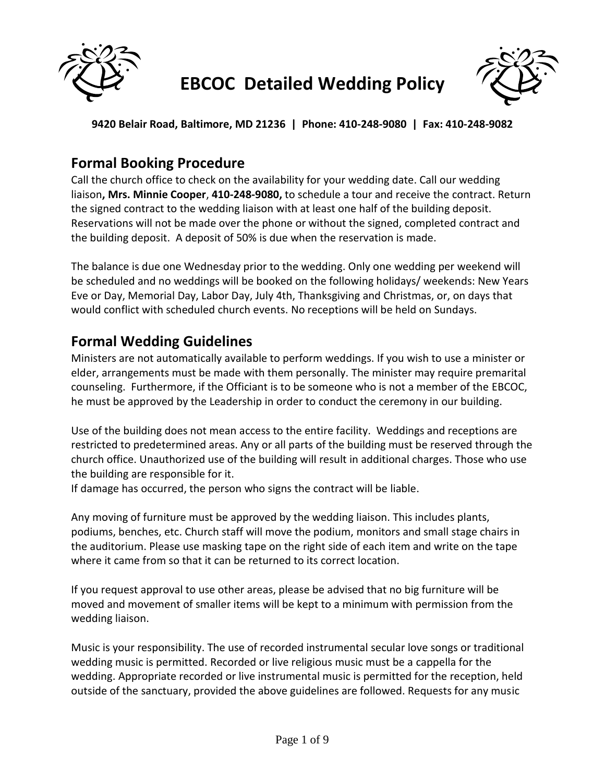

# **EBCOC Detailed Wedding Policy**



**9420 Belair Road, Baltimore, MD 21236 | Phone: 410-248-9080 | Fax: 410-248-9082**

### **Formal Booking Procedure**

Call the church office to check on the availability for your wedding date. Call our wedding liaison**, Mrs. Minnie Cooper**, **410-248-9080,** to schedule a tour and receive the contract. Return the signed contract to the wedding liaison with at least one half of the building deposit. Reservations will not be made over the phone or without the signed, completed contract and the building deposit. A deposit of 50% is due when the reservation is made.

The balance is due one Wednesday prior to the wedding. Only one wedding per weekend will be scheduled and no weddings will be booked on the following holidays/ weekends: New Years Eve or Day, Memorial Day, Labor Day, July 4th, Thanksgiving and Christmas, or, on days that would conflict with scheduled church events. No receptions will be held on Sundays.

### **Formal Wedding Guidelines**

Ministers are not automatically available to perform weddings. If you wish to use a minister or elder, arrangements must be made with them personally. The minister may require premarital counseling. Furthermore, if the Officiant is to be someone who is not a member of the EBCOC, he must be approved by the Leadership in order to conduct the ceremony in our building.

Use of the building does not mean access to the entire facility. Weddings and receptions are restricted to predetermined areas. Any or all parts of the building must be reserved through the church office. Unauthorized use of the building will result in additional charges. Those who use the building are responsible for it.

If damage has occurred, the person who signs the contract will be liable.

Any moving of furniture must be approved by the wedding liaison. This includes plants, podiums, benches, etc. Church staff will move the podium, monitors and small stage chairs in the auditorium. Please use masking tape on the right side of each item and write on the tape where it came from so that it can be returned to its correct location.

If you request approval to use other areas, please be advised that no big furniture will be moved and movement of smaller items will be kept to a minimum with permission from the wedding liaison.

Music is your responsibility. The use of recorded instrumental secular love songs or traditional wedding music is permitted. Recorded or live religious music must be a cappella for the wedding. Appropriate recorded or live instrumental music is permitted for the reception, held outside of the sanctuary, provided the above guidelines are followed. Requests for any music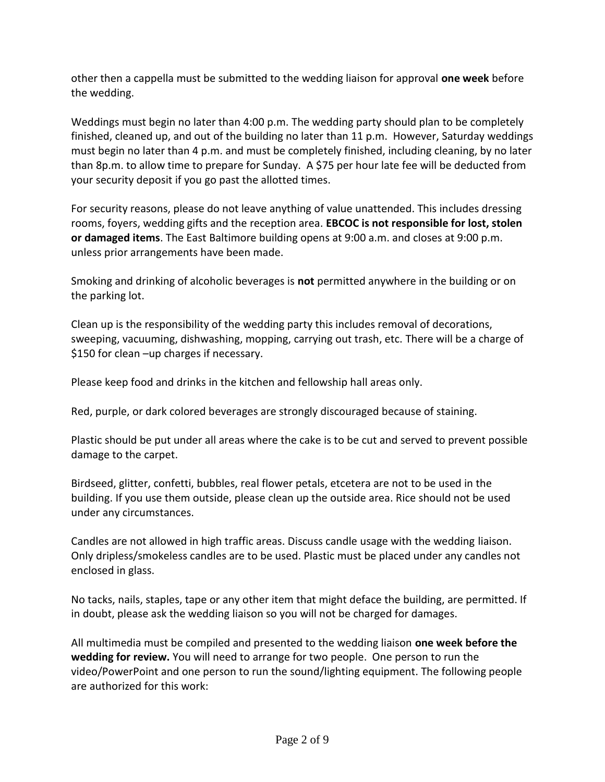other then a cappella must be submitted to the wedding liaison for approval **one week** before the wedding.

Weddings must begin no later than 4:00 p.m. The wedding party should plan to be completely finished, cleaned up, and out of the building no later than 11 p.m. However, Saturday weddings must begin no later than 4 p.m. and must be completely finished, including cleaning, by no later than 8p.m. to allow time to prepare for Sunday. A \$75 per hour late fee will be deducted from your security deposit if you go past the allotted times.

For security reasons, please do not leave anything of value unattended. This includes dressing rooms, foyers, wedding gifts and the reception area. **EBCOC is not responsible for lost, stolen or damaged items**. The East Baltimore building opens at 9:00 a.m. and closes at 9:00 p.m. unless prior arrangements have been made.

Smoking and drinking of alcoholic beverages is **not** permitted anywhere in the building or on the parking lot.

Clean up is the responsibility of the wedding party this includes removal of decorations, sweeping, vacuuming, dishwashing, mopping, carrying out trash, etc. There will be a charge of \$150 for clean –up charges if necessary.

Please keep food and drinks in the kitchen and fellowship hall areas only.

Red, purple, or dark colored beverages are strongly discouraged because of staining.

Plastic should be put under all areas where the cake is to be cut and served to prevent possible damage to the carpet.

Birdseed, glitter, confetti, bubbles, real flower petals, etcetera are not to be used in the building. If you use them outside, please clean up the outside area. Rice should not be used under any circumstances.

Candles are not allowed in high traffic areas. Discuss candle usage with the wedding liaison. Only dripless/smokeless candles are to be used. Plastic must be placed under any candles not enclosed in glass.

No tacks, nails, staples, tape or any other item that might deface the building, are permitted. If in doubt, please ask the wedding liaison so you will not be charged for damages.

All multimedia must be compiled and presented to the wedding liaison **one week before the wedding for review.** You will need to arrange for two people. One person to run the video/PowerPoint and one person to run the sound/lighting equipment. The following people are authorized for this work: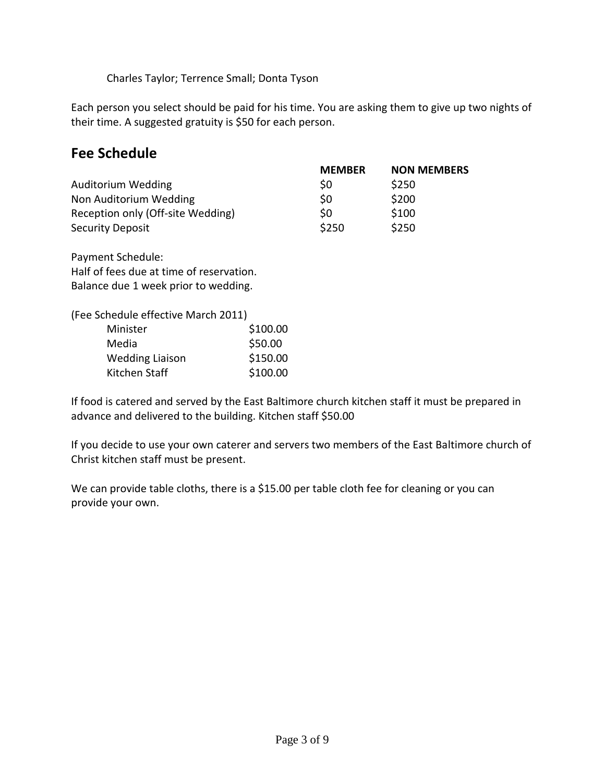Charles Taylor; Terrence Small; Donta Tyson

Each person you select should be paid for his time. You are asking them to give up two nights of their time. A suggested gratuity is \$50 for each person.

### **Fee Schedule**

|                                   | <b>MEMBER</b>  | <b>NON MEMBERS</b> |
|-----------------------------------|----------------|--------------------|
| Auditorium Wedding                | S <sub>0</sub> | \$250              |
| Non Auditorium Wedding            | \$0            | \$200              |
| Reception only (Off-site Wedding) | \$0            | \$100              |
| <b>Security Deposit</b>           | \$250          | \$250              |

Payment Schedule: Half of fees due at time of reservation. Balance due 1 week prior to wedding.

(Fee Schedule effective March 2011)

| Minister               | \$100.00 |
|------------------------|----------|
| Media                  | \$50.00  |
| <b>Wedding Liaison</b> | \$150.00 |
| Kitchen Staff          | \$100.00 |

If food is catered and served by the East Baltimore church kitchen staff it must be prepared in advance and delivered to the building. Kitchen staff \$50.00

If you decide to use your own caterer and servers two members of the East Baltimore church of Christ kitchen staff must be present.

We can provide table cloths, there is a \$15.00 per table cloth fee for cleaning or you can provide your own.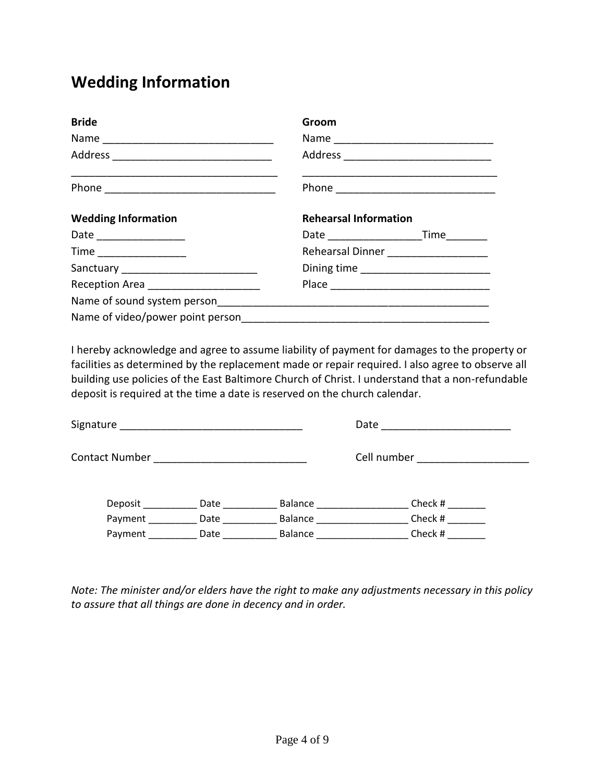## **Wedding Information**

| <b>Bride</b>                           | Groom                        |                                        |  |
|----------------------------------------|------------------------------|----------------------------------------|--|
|                                        |                              |                                        |  |
|                                        |                              |                                        |  |
|                                        |                              |                                        |  |
| <b>Wedding Information</b>             | <b>Rehearsal Information</b> |                                        |  |
| Date __________________                |                              |                                        |  |
|                                        |                              | Rehearsal Dinner _____________________ |  |
|                                        |                              |                                        |  |
| Reception Area _______________________ |                              |                                        |  |
|                                        |                              |                                        |  |
|                                        |                              |                                        |  |

I hereby acknowledge and agree to assume liability of payment for damages to the property or facilities as determined by the replacement made or repair required. I also agree to observe all building use policies of the East Baltimore Church of Christ. I understand that a non-refundable deposit is required at the time a date is reserved on the church calendar.

| Signature |                |      |         | Date        |  |
|-----------|----------------|------|---------|-------------|--|
|           | Contact Number |      |         | Cell number |  |
|           | Deposit        | Date | Balance | Check #     |  |
|           | Payment        | Date | Balance | Check #     |  |
|           | Payment        | Date | Balance | Check #     |  |

*Note: The minister and/or elders have the right to make any adjustments necessary in this policy to assure that all things are done in decency and in order.*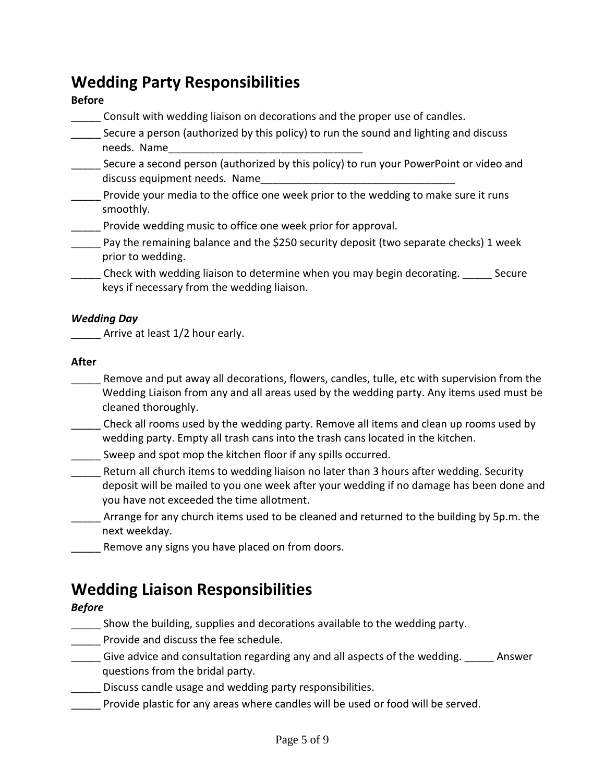### **Wedding Party Responsibilities**

#### **Before**

\_\_\_\_\_ Consult with wedding liaison on decorations and the proper use of candles.

- \_\_\_\_\_ Secure a person (authorized by this policy) to run the sound and lighting and discuss needs. Name
- Secure a second person (authorized by this policy) to run your PowerPoint or video and discuss equipment needs. Name
- Provide your media to the office one week prior to the wedding to make sure it runs smoothly.
- Provide wedding music to office one week prior for approval.
- \_\_\_\_\_ Pay the remaining balance and the \$250 security deposit (two separate checks) 1 week prior to wedding.
- \_\_\_\_\_ Check with wedding liaison to determine when you may begin decorating. \_\_\_\_\_ Secure keys if necessary from the wedding liaison.

#### *Wedding Day*

Arrive at least 1/2 hour early.

#### **After**

- \_\_\_\_\_ Remove and put away all decorations, flowers, candles, tulle, etc with supervision from the Wedding Liaison from any and all areas used by the wedding party. Any items used must be cleaned thoroughly.
- \_\_\_\_\_ Check all rooms used by the wedding party. Remove all items and clean up rooms used by wedding party. Empty all trash cans into the trash cans located in the kitchen.
- Sweep and spot mop the kitchen floor if any spills occurred.
- \_\_\_\_\_ Return all church items to wedding liaison no later than 3 hours after wedding. Security deposit will be mailed to you one week after your wedding if no damage has been done and you have not exceeded the time allotment.
- \_\_\_\_\_ Arrange for any church items used to be cleaned and returned to the building by 5p.m. the next weekday.
- Remove any signs you have placed on from doors.

### **Wedding Liaison Responsibilities**

#### *Before*

- Show the building, supplies and decorations available to the wedding party.
- \_\_\_\_\_ Provide and discuss the fee schedule.
- \_\_\_\_\_ Give advice and consultation regarding any and all aspects of the wedding. \_\_\_\_\_ Answer questions from the bridal party.
- Discuss candle usage and wedding party responsibilities.
- Provide plastic for any areas where candles will be used or food will be served.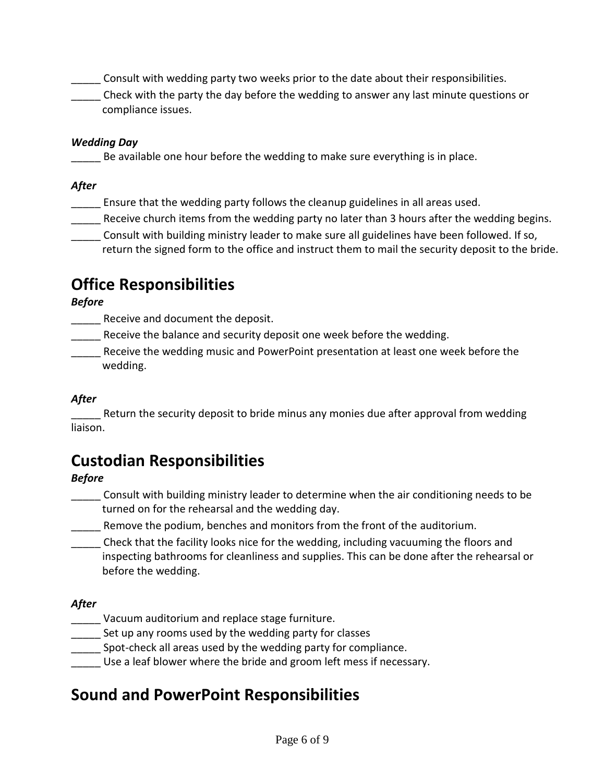\_\_\_\_\_ Consult with wedding party two weeks prior to the date about their responsibilities.

\_\_\_\_\_ Check with the party the day before the wedding to answer any last minute questions or compliance issues.

#### *Wedding Day*

Be available one hour before the wedding to make sure everything is in place.

#### *After*

- **\_\_\_\_\_** Ensure that the wedding party follows the cleanup guidelines in all areas used.
- Receive church items from the wedding party no later than 3 hours after the wedding begins.
- \_\_\_\_\_ Consult with building ministry leader to make sure all guidelines have been followed. If so, return the signed form to the office and instruct them to mail the security deposit to the bride.

# **Office Responsibilities**

#### *Before*

Receive and document the deposit.

- Receive the balance and security deposit one week before the wedding.
- Receive the wedding music and PowerPoint presentation at least one week before the wedding.

#### *After*

Return the security deposit to bride minus any monies due after approval from wedding liaison.

# **Custodian Responsibilities**

#### *Before*

- \_\_\_\_\_ Consult with building ministry leader to determine when the air conditioning needs to be turned on for the rehearsal and the wedding day.
- Remove the podium, benches and monitors from the front of the auditorium.
- \_\_\_\_\_ Check that the facility looks nice for the wedding, including vacuuming the floors and inspecting bathrooms for cleanliness and supplies. This can be done after the rehearsal or before the wedding.

#### *After*

- Vacuum auditorium and replace stage furniture.
- Set up any rooms used by the wedding party for classes
- Spot-check all areas used by the wedding party for compliance.
- Use a leaf blower where the bride and groom left mess if necessary.

### **Sound and PowerPoint Responsibilities**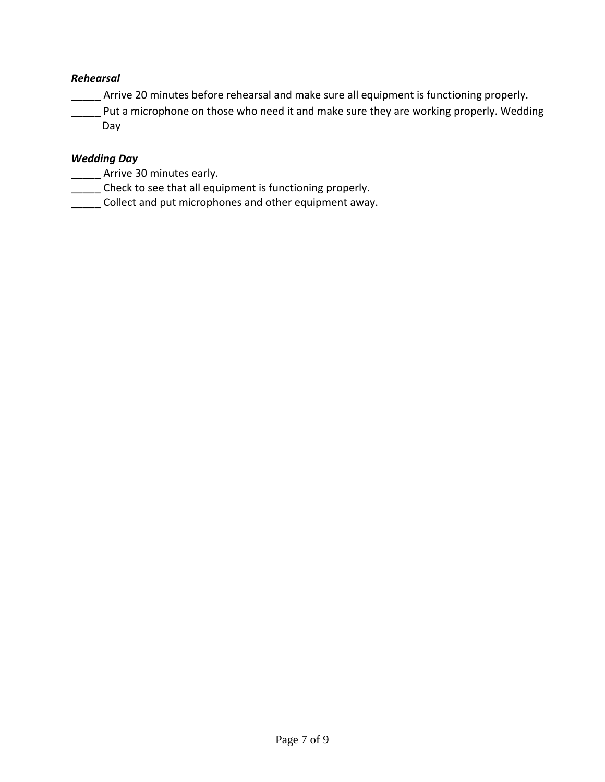#### *Rehearsal*

\_\_\_\_\_ Arrive 20 minutes before rehearsal and make sure all equipment is functioning properly.

**\_\_\_\_\_** Put a microphone on those who need it and make sure they are working properly. Wedding Day

#### *Wedding Day*

- \_\_\_\_\_\_ Arrive 30 minutes early.
- \_\_\_\_\_ Check to see that all equipment is functioning properly.
- \_\_\_\_\_ Collect and put microphones and other equipment away.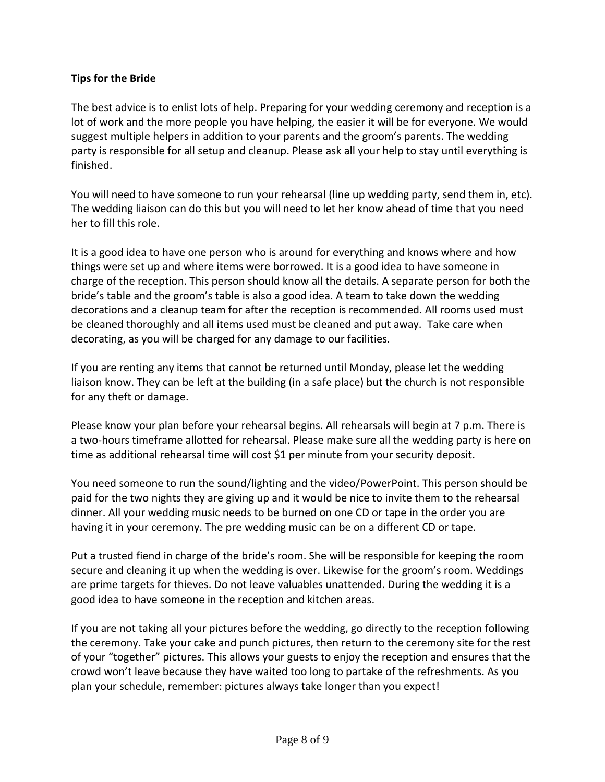#### **Tips for the Bride**

The best advice is to enlist lots of help. Preparing for your wedding ceremony and reception is a lot of work and the more people you have helping, the easier it will be for everyone. We would suggest multiple helpers in addition to your parents and the groom's parents. The wedding party is responsible for all setup and cleanup. Please ask all your help to stay until everything is finished.

You will need to have someone to run your rehearsal (line up wedding party, send them in, etc). The wedding liaison can do this but you will need to let her know ahead of time that you need her to fill this role.

It is a good idea to have one person who is around for everything and knows where and how things were set up and where items were borrowed. It is a good idea to have someone in charge of the reception. This person should know all the details. A separate person for both the bride's table and the groom's table is also a good idea. A team to take down the wedding decorations and a cleanup team for after the reception is recommended. All rooms used must be cleaned thoroughly and all items used must be cleaned and put away. Take care when decorating, as you will be charged for any damage to our facilities.

If you are renting any items that cannot be returned until Monday, please let the wedding liaison know. They can be left at the building (in a safe place) but the church is not responsible for any theft or damage.

Please know your plan before your rehearsal begins. All rehearsals will begin at 7 p.m. There is a two-hours timeframe allotted for rehearsal. Please make sure all the wedding party is here on time as additional rehearsal time will cost \$1 per minute from your security deposit.

You need someone to run the sound/lighting and the video/PowerPoint. This person should be paid for the two nights they are giving up and it would be nice to invite them to the rehearsal dinner. All your wedding music needs to be burned on one CD or tape in the order you are having it in your ceremony. The pre wedding music can be on a different CD or tape.

Put a trusted fiend in charge of the bride's room. She will be responsible for keeping the room secure and cleaning it up when the wedding is over. Likewise for the groom's room. Weddings are prime targets for thieves. Do not leave valuables unattended. During the wedding it is a good idea to have someone in the reception and kitchen areas.

If you are not taking all your pictures before the wedding, go directly to the reception following the ceremony. Take your cake and punch pictures, then return to the ceremony site for the rest of your "together" pictures. This allows your guests to enjoy the reception and ensures that the crowd won't leave because they have waited too long to partake of the refreshments. As you plan your schedule, remember: pictures always take longer than you expect!